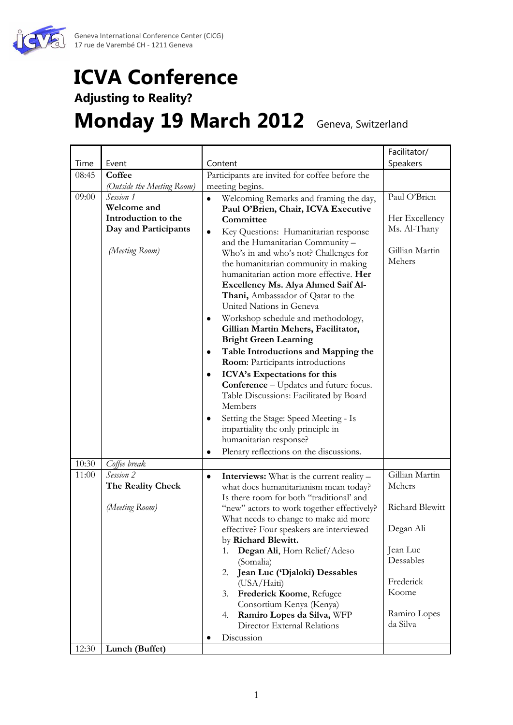

## **ICVA Conference**

## **Adjusting to Reality?**

## **Monday 19 March 2012** Geneva, Switzerland

|       |                                                                                           |                                                                                                                                                                                                                                                                                                                                                                                                                                                                                                                                                                                                                                                                                                                                                                                                                                                                                                                                     | Facilitator/                                                                                                                        |
|-------|-------------------------------------------------------------------------------------------|-------------------------------------------------------------------------------------------------------------------------------------------------------------------------------------------------------------------------------------------------------------------------------------------------------------------------------------------------------------------------------------------------------------------------------------------------------------------------------------------------------------------------------------------------------------------------------------------------------------------------------------------------------------------------------------------------------------------------------------------------------------------------------------------------------------------------------------------------------------------------------------------------------------------------------------|-------------------------------------------------------------------------------------------------------------------------------------|
| Time  | Event                                                                                     | Content                                                                                                                                                                                                                                                                                                                                                                                                                                                                                                                                                                                                                                                                                                                                                                                                                                                                                                                             | Speakers                                                                                                                            |
| 08:45 | Coffee                                                                                    | Participants are invited for coffee before the                                                                                                                                                                                                                                                                                                                                                                                                                                                                                                                                                                                                                                                                                                                                                                                                                                                                                      |                                                                                                                                     |
|       | (Outside the Meeting Room)                                                                | meeting begins.                                                                                                                                                                                                                                                                                                                                                                                                                                                                                                                                                                                                                                                                                                                                                                                                                                                                                                                     |                                                                                                                                     |
| 09:00 | Session 1<br>Welcome and<br>Introduction to the<br>Day and Participants<br>(Meeting Room) | Welcoming Remarks and framing the day,<br>$\bullet$<br>Paul O'Brien, Chair, ICVA Executive<br>Committee<br>Key Questions: Humanitarian response<br>٠<br>and the Humanitarian Community -<br>Who's in and who's not? Challenges for<br>the humanitarian community in making<br>humanitarian action more effective. Her<br>Excellency Ms. Alya Ahmed Saif Al-<br>Thani, Ambassador of Qatar to the<br>United Nations in Geneva<br>Workshop schedule and methodology,<br>٠<br>Gillian Martin Mehers, Facilitator,<br><b>Bright Green Learning</b><br>Table Introductions and Mapping the<br>٠<br>Room: Participants introductions<br>ICVA's Expectations for this<br>٠<br><b>Conference</b> – Updates and future focus.<br>Table Discussions: Facilitated by Board<br>Members<br>Setting the Stage: Speed Meeting - Is<br>٠<br>impartiality the only principle in<br>humanitarian response?<br>Plenary reflections on the discussions. | Paul O'Brien<br>Her Excellency<br>Ms. Al-Thany<br>Gillian Martin<br>Mehers                                                          |
| 10:30 |                                                                                           |                                                                                                                                                                                                                                                                                                                                                                                                                                                                                                                                                                                                                                                                                                                                                                                                                                                                                                                                     |                                                                                                                                     |
| 11:00 | Coffee break<br>Session 2<br>The Reality Check<br>(Meeting Room)                          | <b>Interviews:</b> What is the current reality –<br>٠<br>what does humanitarianism mean today?<br>Is there room for both "traditional' and<br>"new" actors to work together effectively?<br>What needs to change to make aid more<br>effective? Four speakers are interviewed<br>by Richard Blewitt.<br>Degan Ali, Horn Relief/Adeso<br>1.<br>(Somalia)<br>Jean Luc ('Djaloki) Dessables<br>2.<br>(USA/Haiti)<br>Frederick Koome, Refugee<br>3.<br>Consortium Kenya (Kenya)<br>Ramiro Lopes da Silva, WFP<br>4.<br>Director External Relations<br>Discussion                                                                                                                                                                                                                                                                                                                                                                        | Gillian Martin<br>Mehers<br>Richard Blewitt<br>Degan Ali<br>Jean Luc<br>Dessables<br>Frederick<br>Koome<br>Ramiro Lopes<br>da Silva |
| 12:30 | Lunch (Buffet)                                                                            |                                                                                                                                                                                                                                                                                                                                                                                                                                                                                                                                                                                                                                                                                                                                                                                                                                                                                                                                     |                                                                                                                                     |